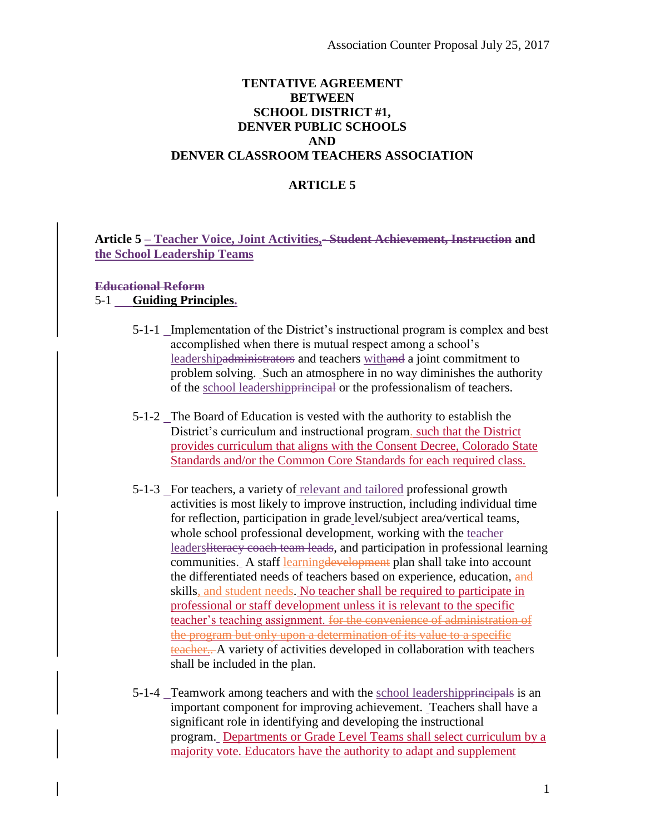# **TENTATIVE AGREEMENT BETWEEN SCHOOL DISTRICT #1, DENVER PUBLIC SCHOOLS AND DENVER CLASSROOM TEACHERS ASSOCIATION**

# **ARTICLE 5**

# **Article 5 – Teacher Voice, Joint Activities,- Student Achievement, Instruction and the School Leadership Teams**

### **Educational Reform**

### 5-1 **Guiding Principles.**

- 5-1-1 Implementation of the District's instructional program is complex and best accomplished when there is mutual respect among a school's leadershipadministrators and teachers withand a joint commitment to problem solving. Such an atmosphere in no way diminishes the authority of the school leadershipprincipal or the professionalism of teachers.
- 5-1-2 The Board of Education is vested with the authority to establish the District's curriculum and instructional program. such that the District provides curriculum that aligns with the Consent Decree, Colorado State Standards and/or the Common Core Standards for each required class.
- 5-1-3 For teachers, a variety of relevant and tailored professional growth activities is most likely to improve instruction, including individual time for reflection, participation in grade level/subject area/vertical teams, whole school professional development, working with the teacher leadersliteracy coach team leads, and participation in professional learning communities. A staff learningdevelopment plan shall take into account the differentiated needs of teachers based on experience, education, and skills, and student needs. No teacher shall be required to participate in professional or staff development unless it is relevant to the specific teacher's teaching assignment. for the convenience of administration of the program but only upon a determination of its value to a specific teacher.. A variety of activities developed in collaboration with teachers shall be included in the plan.
- 5-1-4 Teamwork among teachers and with the school leadershipprincipals is an important component for improving achievement. Teachers shall have a significant role in identifying and developing the instructional program. Departments or Grade Level Teams shall select curriculum by a majority vote. Educators have the authority to adapt and supplement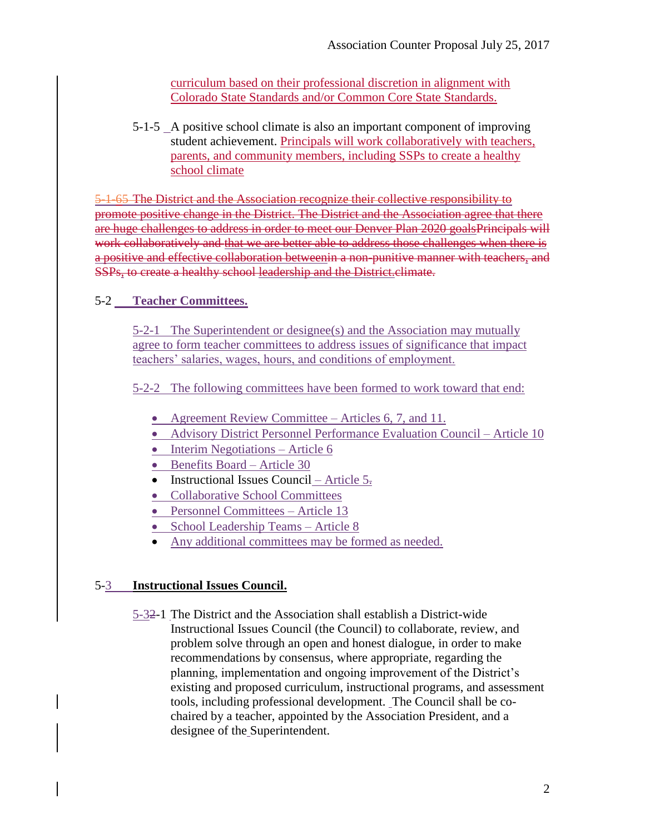curriculum based on their professional discretion in alignment with Colorado State Standards and/or Common Core State Standards.

5-1-5 A positive school climate is also an important component of improving student achievement. Principals will work collaboratively with teachers, parents, and community members, including SSPs to create a healthy school climate

5-1-65 The District and the Association recognize their collective responsibility to promote positive change in the District. The District and the Association agree that there are huge challenges to address in order to meet our Denver Plan 2020 goalsPrincipals will work collaboratively and that we are better able to address those challenges when there is a positive and effective collaboration betweenin a non-punitive manner with teachers, and SSPs, to create a healthy school leadership and the District.climate.

# 5-2 **Teacher Committees.**

5-2-1 The Superintendent or designee(s) and the Association may mutually agree to form teacher committees to address issues of significance that impact teachers' salaries, wages, hours, and conditions of employment.

5-2-2 The following committees have been formed to work toward that end:

- Agreement Review Committee Articles 6, 7, and 11.
- Advisory District Personnel Performance Evaluation Council Article 10
- $\bullet$  Interim Negotiations Article 6
- Benefits Board Article 30
- Instructional Issues Council Article  $5\overline{.}$
- Collaborative School Committees
- Personnel Committees Article 13
- School Leadership Teams Article 8
- Any additional committees may be formed as needed.

# 5-3 **Instructional Issues Council.**

5-32-1 The District and the Association shall establish a District-wide Instructional Issues Council (the Council) to collaborate, review, and problem solve through an open and honest dialogue, in order to make recommendations by consensus, where appropriate, regarding the planning, implementation and ongoing improvement of the District's existing and proposed curriculum, instructional programs, and assessment tools, including professional development. The Council shall be cochaired by a teacher, appointed by the Association President, and a designee of the Superintendent.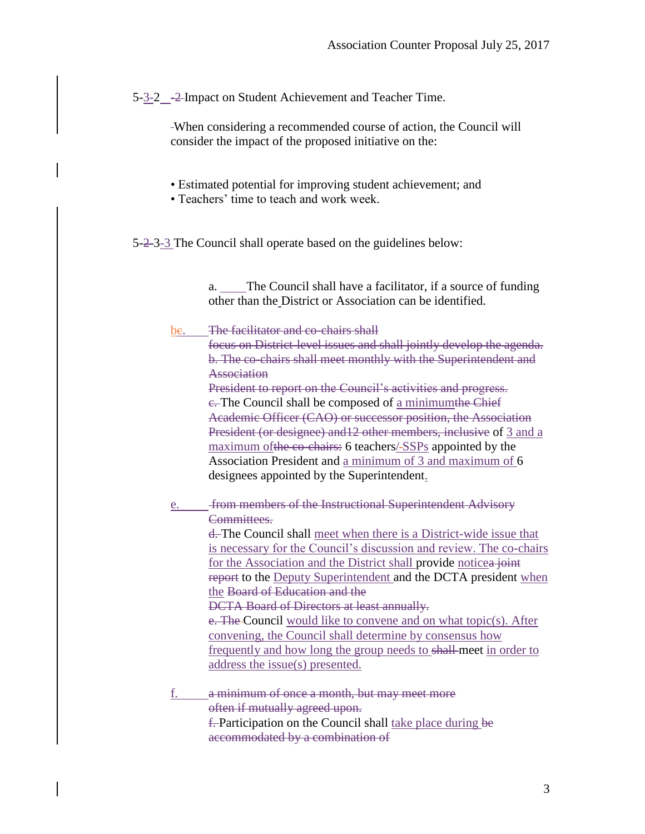5-3-2  $-2$ -Impact on Student Achievement and Teacher Time.

When considering a recommended course of action, the Council will consider the impact of the proposed initiative on the:

- Estimated potential for improving student achievement; and
- Teachers' time to teach and work week.

5-2-3-3 The Council shall operate based on the guidelines below:

a. The Council shall have a facilitator, if a source of funding other than the District or Association can be identified.

### be. The facilitator and co-chairs shall

focus on District-level issues and shall jointly develop the agenda. b. The co-chairs shall meet monthly with the Superintendent and **Association** 

President to report on the Council's activities and progress. e. The Council shall be composed of a minimumthe Chief Academic Officer (CAO) or successor position, the Association President (or designee) and12 other members, inclusive of 3 and a maximum of the co-chairs: 6 teachers/-SSPs appointed by the Association President and a minimum of 3 and maximum of 6 designees appointed by the Superintendent.

e. from members of the Instructional Superintendent Advisory Committees.

d. The Council shall meet when there is a District-wide issue that is necessary for the Council's discussion and review. The co-chairs for the Association and the District shall provide noticea joint report to the Deputy Superintendent and the DCTA president when the Board of Education and the DCTA Board of Directors at least annually.

e. The Council would like to convene and on what topic(s). After convening, the Council shall determine by consensus how frequently and how long the group needs to shall meet in order to address the issue(s) presented.

f. a minimum of once a month, but may meet more often if mutually agreed upon. **f.** Participation on the Council shall take place during be accommodated by a combination of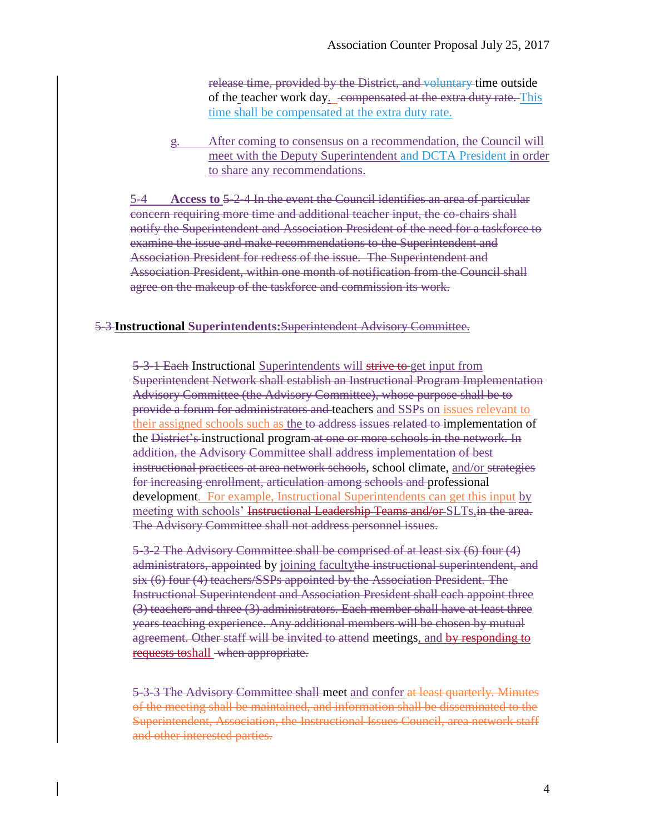release time, provided by the District, and voluntary time outside of the teacher work day. compensated at the extra duty rate. This time shall be compensated at the extra duty rate.

g. After coming to consensus on a recommendation, the Council will meet with the Deputy Superintendent and DCTA President in order to share any recommendations.

5-4 **Access to** 5-2-4 In the event the Council identifies an area of particular concern requiring more time and additional teacher input, the co-chairs shall notify the Superintendent and Association President of the need for a taskforce to examine the issue and make recommendations to the Superintendent and Association President for redress of the issue. The Superintendent and Association President, within one month of notification from the Council shall agree on the makeup of the taskforce and commission its work.

#### 5-3 **Instructional Superintendents:**Superintendent Advisory Committee.

5-3-1 Each Instructional Superintendents will strive to get input from Superintendent Network shall establish an Instructional Program Implementation Advisory Committee (the Advisory Committee), whose purpose shall be to provide a forum for administrators and teachers and SSPs on issues relevant to their assigned schools such as the to address issues related to implementation of the District's instructional program at one or more schools in the network. In addition, the Advisory Committee shall address implementation of best instructional practices at area network schools, school climate, and/or strategies for increasing enrollment, articulation among schools and professional development. For example, Instructional Superintendents can get this input by meeting with schools' Instructional Leadership Teams and/or SLTs, in the area. The Advisory Committee shall not address personnel issues.

5-3-2 The Advisory Committee shall be comprised of at least six (6) four (4) administrators, appointed by joining facultythe instructional superintendent, and six (6) four (4) teachers/SSPs appointed by the Association President. The Instructional Superintendent and Association President shall each appoint three (3) teachers and three (3) administrators. Each member shall have at least three years teaching experience. Any additional members will be chosen by mutual agreement. Other staff will be invited to attend meetings, and by responding to requests toshall when appropriate.

5-3-3 The Advisory Committee shall meet and confer at least quarterly. Minutes of the meeting shall be maintained, and information shall be disseminated to the Superintendent, Association, the Instructional Issues Council, area network staff and other interested parties.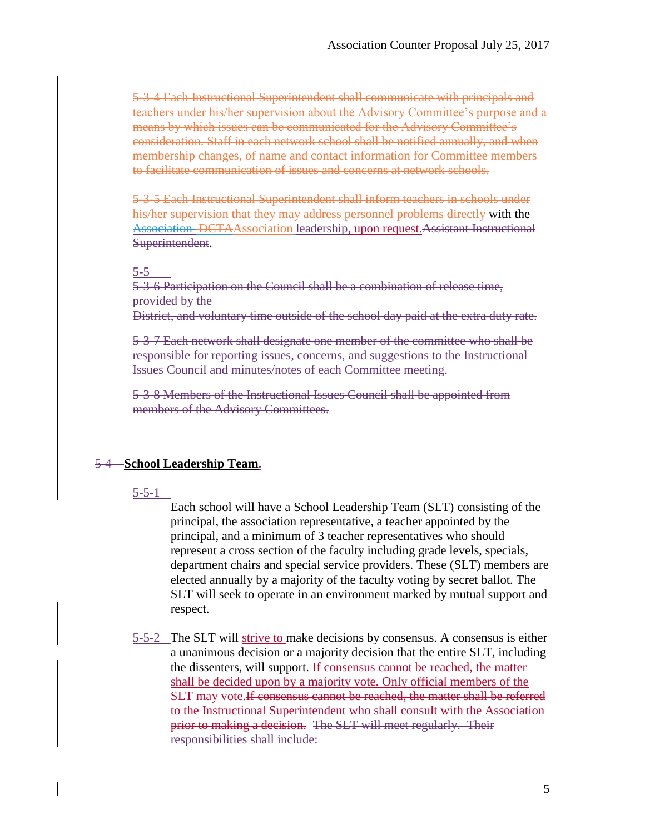5-3-4 Each Instructional Superintendent shall communicate with principals and teachers under his/her supervision about the Advisory Committee's purpose and a means by which issues can be communicated for the Advisory Committee's consideration. Staff in each network school shall be notified annually, and when membership changes, of name and contact information for Committee members to facilitate communication of issues and concerns at network schools.

5-3-5 Each Instructional Superintendent shall inform teachers in schools under his/her supervision that they may address personnel problems directly with the Association DCTAAssociation leadership, upon request.Assistant Instructional Superintendent.

#### 5-5

5-3-6 Participation on the Council shall be a combination of release time, provided by the

District, and voluntary time outside of the school day paid at the extra duty rate.

5-3-7 Each network shall designate one member of the committee who shall be responsible for reporting issues, concerns, and suggestions to the Instructional Issues Council and minutes/notes of each Committee meeting.

5-3-8 Members of the Instructional Issues Council shall be appointed from members of the Advisory Committees.

### 5-4 – **School Leadership Team.**

#### 5-5-1

Each school will have a School Leadership Team (SLT) consisting of the principal, the association representative, a teacher appointed by the principal, and a minimum of 3 teacher representatives who should represent a cross section of the faculty including grade levels, specials, department chairs and special service providers. These (SLT) members are elected annually by a majority of the faculty voting by secret ballot. The SLT will seek to operate in an environment marked by mutual support and respect.

5-5-2 The SLT will strive to make decisions by consensus. A consensus is either a unanimous decision or a majority decision that the entire SLT, including the dissenters, will support. If consensus cannot be reached, the matter shall be decided upon by a majority vote. Only official members of the SLT may vote. If consensus cannot be reached, the matter shall be referred to the Instructional Superintendent who shall consult with the Association prior to making a decision.The SLT will meet regularly. Their responsibilities shall include: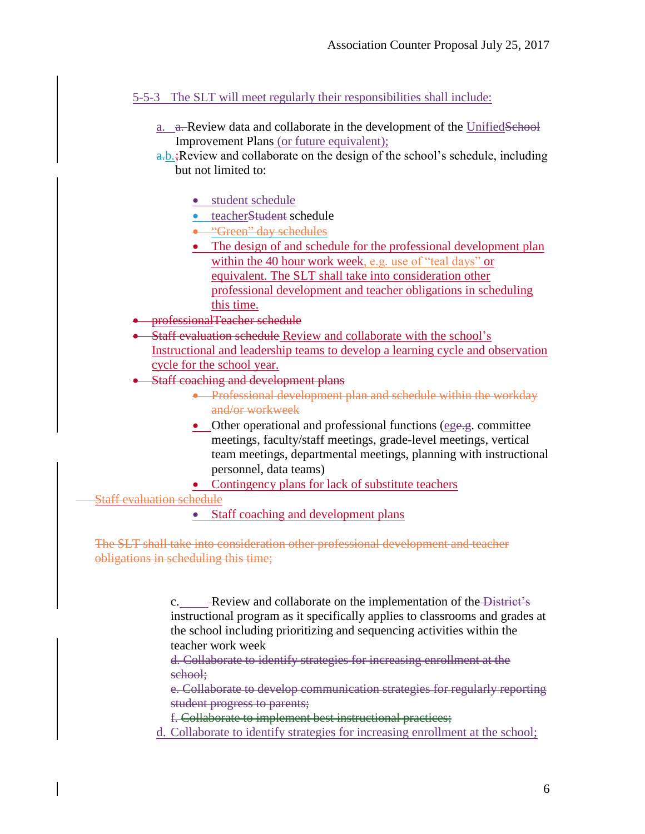5-5-3 The SLT will meet regularly their responsibilities shall include:

- a. a. Review data and collaborate in the development of the UnifiedSchool Improvement Plans (or future equivalent);
- $a,b.$ ; Review and collaborate on the design of the school's schedule, including but not limited to:
	- student schedule
	- teacherStudent schedule
	- **.** "Green" day schedules
	- The design of and schedule for the professional development plan within the 40 hour work week, e.g. use of "teal days" or equivalent. The SLT shall take into consideration other professional development and teacher obligations in scheduling this time.
- professionalTeacher schedule
- Staff evaluation schedule Review and collaborate with the school's Instructional and leadership teams to develop a learning cycle and observation cycle for the school year.
- Staff coaching and development plans
	- **•** Professional development plan and schedule within the workday and/or workweek
	- Other operational and professional functions (ege.g. committee meetings, faculty/staff meetings, grade-level meetings, vertical team meetings, departmental meetings, planning with instructional personnel, data teams)
	- Contingency plans for lack of substitute teachers

Staff evaluation schedule

• Staff coaching and development plans

The SLT shall take into consideration other professional development and teacher obligations in scheduling this time;

> c. Review and collaborate on the implementation of the District's instructional program as it specifically applies to classrooms and grades at the school including prioritizing and sequencing activities within the teacher work week

d. Collaborate to identify strategies for increasing enrollment at the school;

e. Collaborate to develop communication strategies for regularly reporting student progress to parents;

f. Collaborate to implement best instructional practices;

d. Collaborate to identify strategies for increasing enrollment at the school;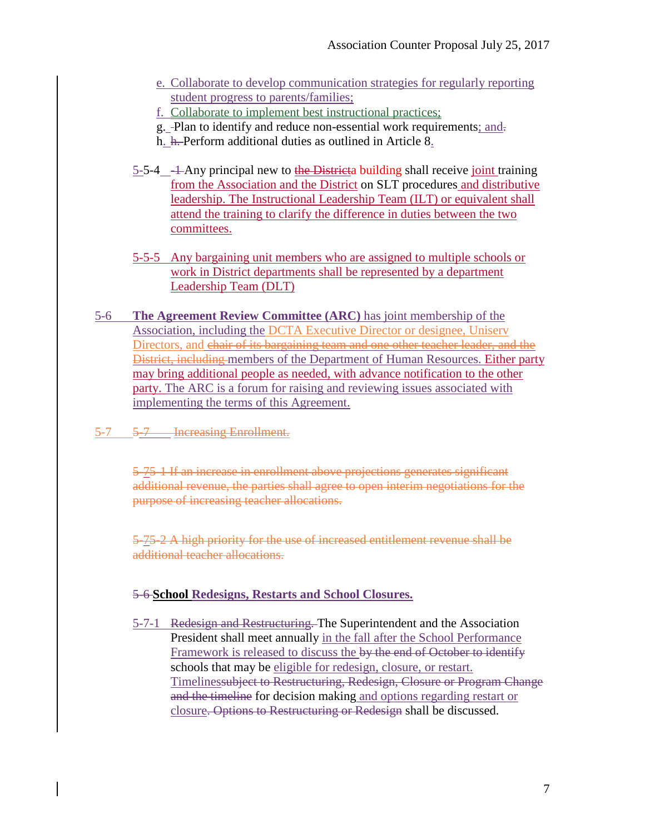- e. Collaborate to develop communication strategies for regularly reporting student progress to parents/families;
- f. Collaborate to implement best instructional practices;
- g. -Plan to identify and reduce non-essential work requirements; and-
- h. h. Perform additional duties as outlined in Article 8.
- 5-5-4  $-1$  Any principal new to the Districta building shall receive joint training from the Association and the District on SLT procedures and distributive leadership. The Instructional Leadership Team (ILT) or equivalent shall attend the training to clarify the difference in duties between the two committees.
- 5-5-5 Any bargaining unit members who are assigned to multiple schools or work in District departments shall be represented by a department Leadership Team (DLT)
- 5-6 **The Agreement Review Committee (ARC)** has joint membership of the Association, including the DCTA Executive Director or designee, Uniserv Directors, and chair of its bargaining team and one other teacher leader, and the District, including members of the Department of Human Resources. Either party may bring additional people as needed, with advance notification to the other party. The ARC is a forum for raising and reviewing issues associated with implementing the terms of this Agreement.
- 5-7 5-7 Increasing Enrollment.

5-75-1 If an increase in enrollment above projections generates significant additional revenue, the parties shall agree to open interim negotiations for the purpose of increasing teacher allocations.

5-75-2 A high priority for the use of increased entitlement revenue shall be additional teacher allocations.

# 5-6 **School Redesigns, Restarts and School Closures.**

5-7-1 Redesign and Restructuring. The Superintendent and the Association President shall meet annually in the fall after the School Performance Framework is released to discuss the by the end of October to identify schools that may be eligible for redesign, closure, or restart. Timelinessubject to Restructuring, Redesign, Closure or Program Change and the timeline for decision making and options regarding restart or closure. Options to Restructuring or Redesign shall be discussed.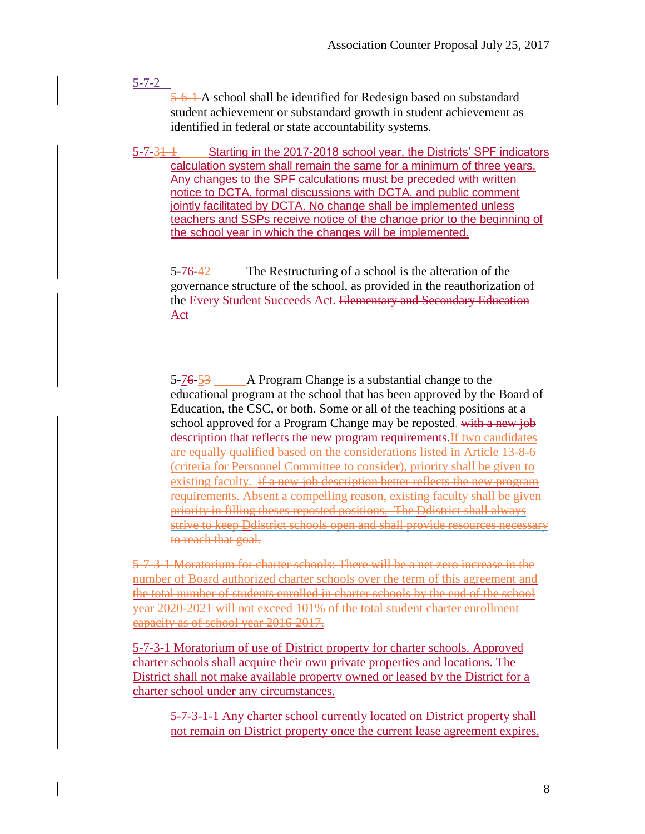5-7-2

5-6-1-A school shall be identified for Redesign based on substandard student achievement or substandard growth in student achievement as identified in federal or state accountability systems.

5-7-31-1 Starting in the 2017-2018 school year, the Districts' SPF indicators calculation system shall remain the same for a minimum of three years. Any changes to the SPF calculations must be preceded with written notice to DCTA, formal discussions with DCTA, and public comment jointly facilitated by DCTA. No change shall be implemented unless teachers and SSPs receive notice of the change prior to the beginning of the school year in which the changes will be implemented.

5-76-42 The Restructuring of a school is the alteration of the governance structure of the school, as provided in the reauthorization of the Every Student Succeeds Act. Elementary and Secondary Education Act

5-76-53 A Program Change is a substantial change to the educational program at the school that has been approved by the Board of Education, the CSC, or both. Some or all of the teaching positions at a school approved for a Program Change may be reposted. with a new job description that reflects the new program requirements. If two candidates are equally qualified based on the considerations listed in Article 13-8-6 (criteria for Personnel Committee to consider), priority shall be given to existing faculty. if a new job description better reflects the new program requirements. Absent a compelling reason, existing faculty shall be given priority in filling theses reposted positions. The Ddistrict shall always strive to keep Ddistrict schools open and shall provide resources necessary to reach that goal.

5-7-3-1 Moratorium for charter schools: There will be a net zero increase in the number of Board authorized charter schools over the term of this agreement and the total number of students enrolled in charter schools by the end of the school year 2020-2021 will not exceed 101% of the total student charter enrollment capacity as of school year 2016-2017.

5-7-3-1 Moratorium of use of District property for charter schools. Approved charter schools shall acquire their own private properties and locations. The District shall not make available property owned or leased by the District for a charter school under any circumstances.

5-7-3-1-1 Any charter school currently located on District property shall not remain on District property once the current lease agreement expires.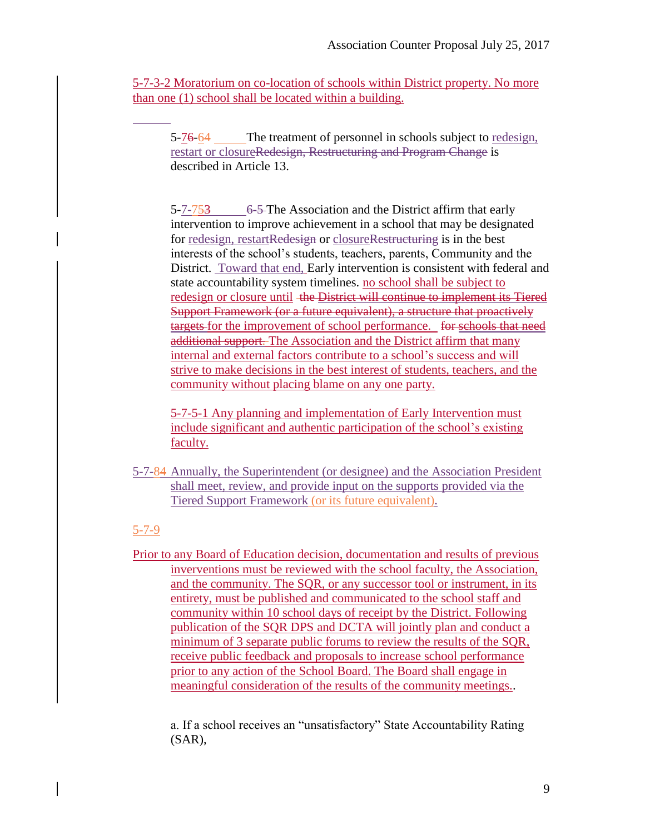5-7-3-2 Moratorium on co-location of schools within District property. No more than one (1) school shall be located within a building.

5-76-64 The treatment of personnel in schools subject to redesign, restart or closureRedesign, Restructuring and Program Change is described in Article 13.

5-7-753 6-5-The Association and the District affirm that early intervention to improve achievement in a school that may be designated for redesign, restartRedesign or closureRestructuring is in the best interests of the school's students, teachers, parents, Community and the District. Toward that end, Early intervention is consistent with federal and state accountability system timelines. no school shall be subject to redesign or closure until the District will continue to implement its Tiered Support Framework (or a future equivalent), a structure that proactively targets for the improvement of school performance. for schools that need additional support. The Association and the District affirm that many internal and external factors contribute to a school's success and will strive to make decisions in the best interest of students, teachers, and the community without placing blame on any one party.

5-7-5-1 Any planning and implementation of Early Intervention must include significant and authentic participation of the school's existing faculty.

5-7-84 Annually, the Superintendent (or designee) and the Association President shall meet, review, and provide input on the supports provided via the Tiered Support Framework (or its future equivalent).

# 5-7-9

Prior to any Board of Education decision, documentation and results of previous inverventions must be reviewed with the school faculty, the Association, and the community. The SQR, or any successor tool or instrument, in its entirety, must be published and communicated to the school staff and community within 10 school days of receipt by the District. Following publication of the SQR DPS and DCTA will jointly plan and conduct a minimum of 3 separate public forums to review the results of the SQR, receive public feedback and proposals to increase school performance prior to any action of the School Board. The Board shall engage in meaningful consideration of the results of the community meetings..

a. If a school receives an "unsatisfactory" State Accountability Rating (SAR),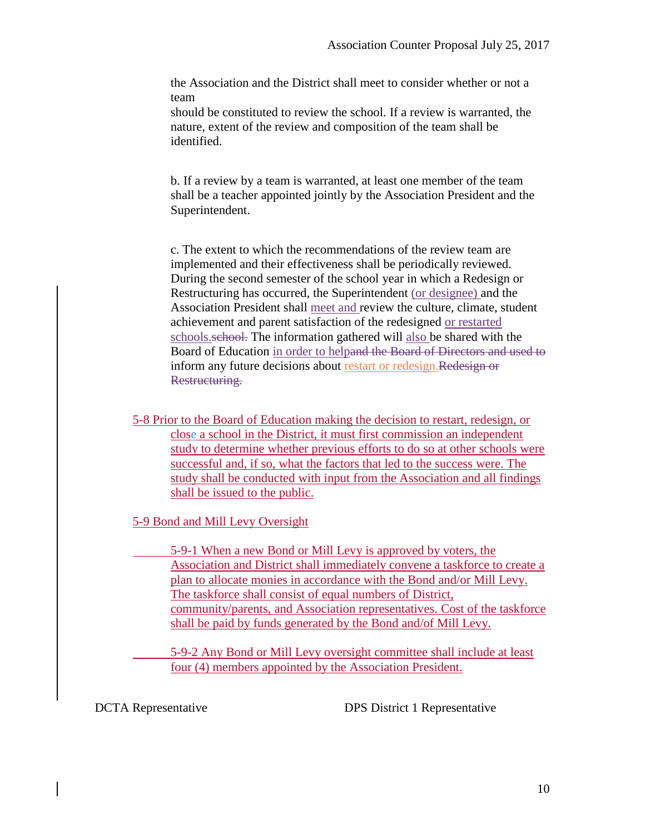the Association and the District shall meet to consider whether or not a team

should be constituted to review the school. If a review is warranted, the nature, extent of the review and composition of the team shall be identified.

b. If a review by a team is warranted, at least one member of the team shall be a teacher appointed jointly by the Association President and the Superintendent.

c. The extent to which the recommendations of the review team are implemented and their effectiveness shall be periodically reviewed. During the second semester of the school year in which a Redesign or Restructuring has occurred, the Superintendent (or designee) and the Association President shall meet and review the culture, climate, student achievement and parent satisfaction of the redesigned or restarted schools.school. The information gathered will also be shared with the Board of Education in order to helpand the Board of Directors and used to inform any future decisions about restart or redesign.Redesign or Restructuring.

5-8 Prior to the Board of Education making the decision to restart, redesign, or close a school in the District, it must first commission an independent study to determine whether previous efforts to do so at other schools were successful and, if so, what the factors that led to the success were. The study shall be conducted with input from the Association and all findings shall be issued to the public.

5-9 Bond and Mill Levy Oversight

5-9-1 When a new Bond or Mill Levy is approved by voters, the Association and District shall immediately convene a taskforce to create a plan to allocate monies in accordance with the Bond and/or Mill Levy. The taskforce shall consist of equal numbers of District, community/parents, and Association representatives. Cost of the taskforce shall be paid by funds generated by the Bond and/of Mill Levy.

5-9-2 Any Bond or Mill Levy oversight committee shall include at least four (4) members appointed by the Association President.

DCTA Representative DPS District 1 Representative